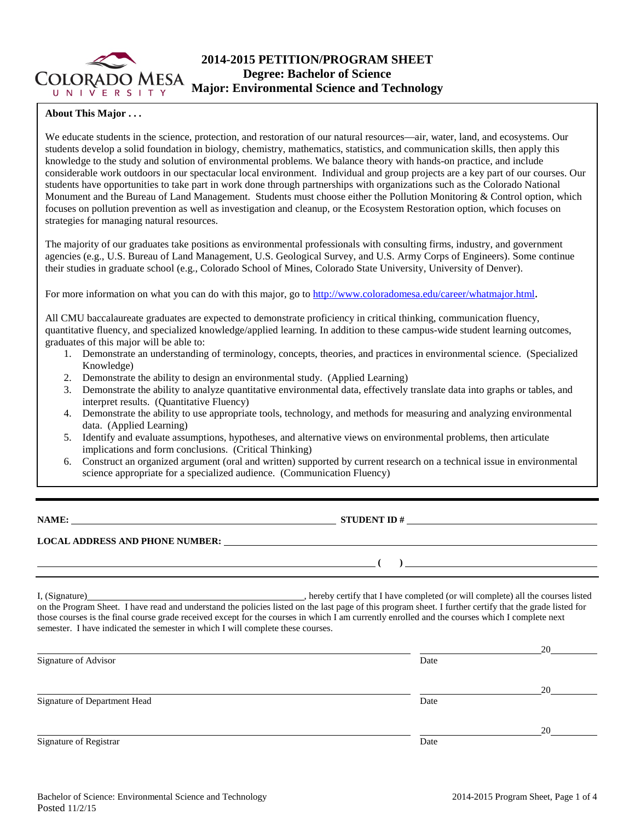

# **2014-2015 PETITION/PROGRAM SHEET Degree: Bachelor of Science Major: Environmental Science and Technology**

## **About This Major . . .**

We educate students in the science, protection, and restoration of our natural resources—air, water, land, and ecosystems. Our students develop a solid foundation in biology, chemistry, mathematics, statistics, and communication skills, then apply this knowledge to the study and solution of environmental problems. We balance theory with hands-on practice, and include considerable work outdoors in our spectacular local environment. Individual and group projects are a key part of our courses. Our students have opportunities to take part in work done through partnerships with organizations such as the Colorado National Monument and the Bureau of Land Management. Students must choose either the Pollution Monitoring & Control option, which focuses on pollution prevention as well as investigation and cleanup, or the Ecosystem Restoration option, which focuses on strategies for managing natural resources.

The majority of our graduates take positions as environmental professionals with consulting firms, industry, and government agencies (e.g., U.S. Bureau of Land Management, U.S. Geological Survey, and U.S. Army Corps of Engineers). Some continue their studies in graduate school (e.g., Colorado School of Mines, Colorado State University, University of Denver).

For more information on what you can do with this major, go to [http://www.coloradomesa.edu/career/whatmajor.html.](http://www.coloradomesa.edu/career/whatmajor.html)

All CMU baccalaureate graduates are expected to demonstrate proficiency in critical thinking, communication fluency, quantitative fluency, and specialized knowledge/applied learning. In addition to these campus-wide student learning outcomes, graduates of this major will be able to:

- 1. Demonstrate an understanding of terminology, concepts, theories, and practices in environmental science. (Specialized Knowledge)
- 2. Demonstrate the ability to design an environmental study. (Applied Learning)
- 3. Demonstrate the ability to analyze quantitative environmental data, effectively translate data into graphs or tables, and interpret results. (Quantitative Fluency)
- 4. Demonstrate the ability to use appropriate tools, technology, and methods for measuring and analyzing environmental data. (Applied Learning)
- 5. Identify and evaluate assumptions, hypotheses, and alternative views on environmental problems, then articulate implications and form conclusions. (Critical Thinking)
- 6. Construct an organized argument (oral and written) supported by current research on a technical issue in environmental science appropriate for a specialized audience. (Communication Fluency)

**NAME: STUDENT ID #** 

**( )** 

### **LOCAL ADDRESS AND PHONE NUMBER:**

I, (Signature) **I.** (Signature) **I.** (Signature) **I.** (Signature) **I.** (Signature) **I.**  $\alpha$  is the courses listed on the Program Sheet. I have read and understand the policies listed on the last page of this program sheet. I further certify that the grade listed for those courses is the final course grade received except for the courses in which I am currently enrolled and the courses which I complete next semester. I have indicated the semester in which I will complete these courses.

|                              |      | 20 |
|------------------------------|------|----|
| Signature of Advisor         | Date |    |
|                              |      | 20 |
| Signature of Department Head | Date |    |
|                              |      | 20 |
| Signature of Registrar       | Date |    |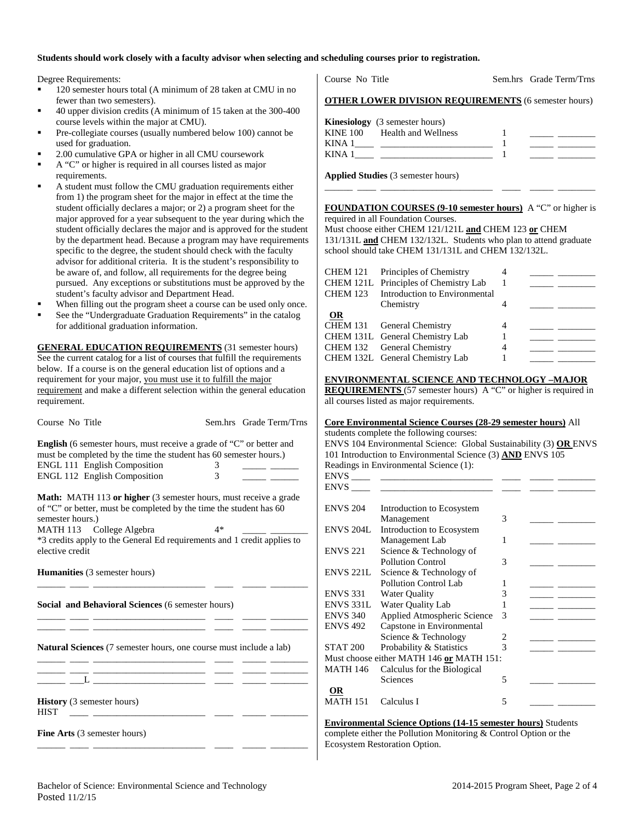### **Students should work closely with a faculty advisor when selecting and scheduling courses prior to registration.**

Degree Requirements:

- 120 semester hours total (A minimum of 28 taken at CMU in no fewer than two semesters).
- 40 upper division credits (A minimum of 15 taken at the 300-400 course levels within the major at CMU).
- Pre-collegiate courses (usually numbered below 100) cannot be used for graduation.
- 2.00 cumulative GPA or higher in all CMU coursework
- A "C" or higher is required in all courses listed as major
- requirements. A student must follow the CMU graduation requirements either from 1) the program sheet for the major in effect at the time the student officially declares a major; or 2) a program sheet for the major approved for a year subsequent to the year during which the student officially declares the major and is approved for the student by the department head. Because a program may have requirements specific to the degree, the student should check with the faculty advisor for additional criteria. It is the student's responsibility to be aware of, and follow, all requirements for the degree being pursued. Any exceptions or substitutions must be approved by the student's faculty advisor and Department Head.
- When filling out the program sheet a course can be used only once.
- See the "Undergraduate Graduation Requirements" in the catalog for additional graduation information.

**GENERAL EDUCATION REQUIREMENTS** (31 semester hours) See the current catalog for a list of courses that fulfill the requirements below. If a course is on the general education list of options and a requirement for your major, you must use it to fulfill the major requirement and make a different selection within the general education requirement.

| Course No Title                                                                                                                                  |                                                                                                                                               | Sem.hrs Grade Term/Trns |  |  |  |  |  |
|--------------------------------------------------------------------------------------------------------------------------------------------------|-----------------------------------------------------------------------------------------------------------------------------------------------|-------------------------|--|--|--|--|--|
| <b>English</b> (6 semester hours, must receive a grade of "C" or better and<br>must be completed by the time the student has 60 semester hours.) |                                                                                                                                               |                         |  |  |  |  |  |
| <b>ENGL 111 English Composition</b>                                                                                                              | 3                                                                                                                                             |                         |  |  |  |  |  |
| <b>ENGL 112 English Composition</b>                                                                                                              | $\overline{\mathcal{E}}$                                                                                                                      |                         |  |  |  |  |  |
| semester hours.)                                                                                                                                 | <b>Math:</b> MATH 113 or higher (3 semester hours, must receive a grade<br>of "C" or better, must be completed by the time the student has 60 |                         |  |  |  |  |  |
| MATH 113 College Algebra                                                                                                                         | $4*$                                                                                                                                          |                         |  |  |  |  |  |
| *3 credits apply to the General Ed requirements and 1 credit applies to<br>elective credit                                                       |                                                                                                                                               |                         |  |  |  |  |  |
| <b>Humanities</b> (3 semester hours)                                                                                                             |                                                                                                                                               |                         |  |  |  |  |  |
| <b>Social and Behavioral Sciences (6 semester hours)</b>                                                                                         |                                                                                                                                               |                         |  |  |  |  |  |
| <b>Natural Sciences</b> (7 semester hours, one course must include a lab)<br><u> 1989 - Andrea Stein, Amerikaansk politiker (</u>                |                                                                                                                                               |                         |  |  |  |  |  |
|                                                                                                                                                  |                                                                                                                                               |                         |  |  |  |  |  |
| <b>History</b> (3 semester hours)<br><b>HIST</b>                                                                                                 |                                                                                                                                               |                         |  |  |  |  |  |
| <b>Fine Arts</b> (3 semester hours)                                                                                                              |                                                                                                                                               |                         |  |  |  |  |  |

Course No Title Sem.hrs Grade Term/Trns

| <b>OTHER LOWER DIVISION REQUIREMENTS</b> (6 semester hours) |
|-------------------------------------------------------------|
|-------------------------------------------------------------|

|             | <b>Kinesiology</b> (3 semester hours) |  |
|-------------|---------------------------------------|--|
|             | KINE 100 Health and Wellness          |  |
| KINA .      |                                       |  |
| <b>KINA</b> |                                       |  |

**Applied Studies** (3 semester hours)

#### **FOUNDATION COURSES (9-10 semester hours)** A "C" or higher is required in all Foundation Courses.

\_\_\_\_\_\_ \_\_\_\_ \_\_\_\_\_\_\_\_\_\_\_\_\_\_\_\_\_\_\_\_\_\_\_\_ \_\_\_\_ \_\_\_\_\_ \_\_\_\_\_\_\_\_

Must choose either CHEM 121/121L **and** CHEM 123 **or** CHEM 131/131L **and** CHEM 132/132L. Students who plan to attend graduate school should take CHEM 131/131L and CHEM 132/132L.

|                 | CHEM 121 Principles of Chemistry<br>CHEM 121L Principles of Chemistry Lab |  |  |
|-----------------|---------------------------------------------------------------------------|--|--|
| <b>CHEM 123</b> | Introduction to Environmental                                             |  |  |
|                 | Chemistry                                                                 |  |  |
| <b>OR</b>       |                                                                           |  |  |
|                 | CHEM 131 General Chemistry                                                |  |  |
|                 | CHEM 131L General Chemistry Lab                                           |  |  |
|                 | CHEM 132 General Chemistry                                                |  |  |
|                 | CHEM 132L General Chemistry Lab                                           |  |  |
|                 |                                                                           |  |  |

#### **ENVIRONMENTAL SCIENCE AND TECHNOLOGY –MAJOR**

**REQUIREMENTS** (57 semester hours) A "C" or higher is required in all courses listed as major requirements.

#### **Core Environmental Science Courses (28-29 semester hours)** All

students complete the following courses: ENVS 104 Environmental Science: Global Sustainability (3) **OR** ENVS 101 Introduction to Environmental Science (3) **AND** ENVS 105 Readings in Environmental Science (1): ENVS \_\_\_\_ \_\_\_\_\_\_\_\_\_\_\_\_\_\_\_\_\_\_\_\_\_\_\_\_ \_\_\_\_ \_\_\_\_\_ \_\_\_\_\_\_\_\_ ENVS \_\_\_\_ \_\_\_\_\_\_\_\_\_\_\_\_\_\_\_\_\_\_\_\_\_\_\_\_ \_\_\_\_ \_\_\_\_\_ \_\_\_\_\_\_\_\_ ENVS 204 Introduction to Ecosystem Management 3 \_\_\_\_\_ \_\_\_\_\_\_\_\_

|                  | манадешеш                                |   |  |
|------------------|------------------------------------------|---|--|
| <b>ENVS 204L</b> | Introduction to Ecosystem                |   |  |
|                  | Management Lab                           |   |  |
| <b>ENVS 221</b>  | Science & Technology of                  |   |  |
|                  | <b>Pollution Control</b>                 | 3 |  |
| <b>ENVS 221L</b> | Science & Technology of                  |   |  |
|                  | Pollution Control Lab                    |   |  |
| <b>ENVS 331</b>  | Water Quality                            | 3 |  |
| ENVS 331L        | Water Quality Lab                        |   |  |
| <b>ENVS 340</b>  | Applied Atmospheric Science              | 3 |  |
| <b>ENVS 492</b>  | Capstone in Environmental                |   |  |
|                  | Science & Technology                     | 2 |  |
| <b>STAT 200</b>  | Probability & Statistics                 | 3 |  |
|                  | Must choose either MATH 146 or MATH 151: |   |  |
| <b>MATH 146</b>  | Calculus for the Biological              |   |  |
|                  | Sciences                                 | 5 |  |
| OR               |                                          |   |  |
| <b>MATH 151</b>  | Calculus I                               | 5 |  |

**Environmental Science Options (14-15 semester hours)** Students complete either the Pollution Monitoring & Control Option or the Ecosystem Restoration Option.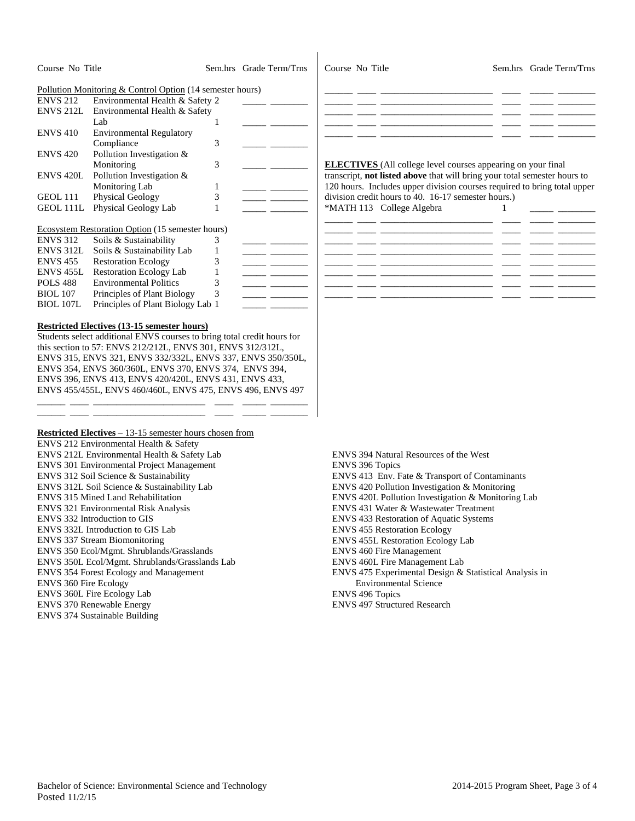| Course No Title              |                                                                         |              | Sem.hrs Grade Term/Trns | Course No Title        |                                                                                                                                                  |   | Sem.hrs Grade Term/Trns |
|------------------------------|-------------------------------------------------------------------------|--------------|-------------------------|------------------------|--------------------------------------------------------------------------------------------------------------------------------------------------|---|-------------------------|
|                              | Pollution Monitoring & Control Option (14 semester hours)               |              |                         |                        |                                                                                                                                                  |   |                         |
| <b>ENVS 212</b>              | Environmental Health & Safety 2                                         |              |                         |                        |                                                                                                                                                  |   |                         |
| ENVS 212L                    | Environmental Health & Safety                                           |              |                         |                        |                                                                                                                                                  |   |                         |
|                              | Lab                                                                     | 1            |                         |                        |                                                                                                                                                  |   |                         |
| <b>ENVS 410</b>              | <b>Environmental Regulatory</b>                                         |              |                         |                        |                                                                                                                                                  |   |                         |
|                              | Compliance                                                              | 3            |                         |                        |                                                                                                                                                  |   |                         |
|                              | Pollution Investigation &                                               |              |                         |                        |                                                                                                                                                  |   |                         |
| <b>ENVS 420</b>              |                                                                         |              |                         |                        |                                                                                                                                                  |   |                         |
|                              | Monitoring<br>Pollution Investigation &                                 | 3            |                         |                        | <b>ELECTIVES</b> (All college level courses appearing on your final<br>transcript, not listed above that will bring your total semester hours to |   |                         |
| ENVS 420L                    |                                                                         |              |                         |                        |                                                                                                                                                  |   |                         |
|                              | Monitoring Lab                                                          | 1            |                         |                        | 120 hours. Includes upper division courses required to bring total upper                                                                         |   |                         |
| GEOL 111                     | Physical Geology                                                        | 3            |                         |                        | division credit hours to 40. 16-17 semester hours.)                                                                                              |   |                         |
| GEOL 111L                    | Physical Geology Lab                                                    | 1            |                         |                        | *MATH 113 College Algebra                                                                                                                        | 1 |                         |
|                              | Ecosystem Restoration Option (15 semester hours)                        |              |                         |                        |                                                                                                                                                  |   |                         |
| <b>ENVS 312</b>              | Soils & Sustainability                                                  | 3            |                         |                        |                                                                                                                                                  |   |                         |
| ENVS 312L                    | Soils & Sustainability Lab                                              | 1            | __ ___                  |                        |                                                                                                                                                  |   |                         |
| <b>ENVS 455</b>              | <b>Restoration Ecology</b>                                              | 3            |                         |                        |                                                                                                                                                  |   |                         |
| ENVS 455L                    | <b>Restoration Ecology Lab</b>                                          | $\mathbf{1}$ |                         |                        |                                                                                                                                                  |   |                         |
| POLS 488                     | <b>Environmental Politics</b>                                           | 3            |                         |                        |                                                                                                                                                  |   |                         |
| <b>BIOL</b> 107              | Principles of Plant Biology                                             | 3            |                         |                        |                                                                                                                                                  |   |                         |
| <b>BIOL 107L</b>             | Principles of Plant Biology Lab 1                                       |              |                         |                        |                                                                                                                                                  |   |                         |
|                              |                                                                         |              |                         |                        |                                                                                                                                                  |   |                         |
|                              | <b>Restricted Electives (13-15 semester hours)</b>                      |              |                         |                        |                                                                                                                                                  |   |                         |
|                              | Students select additional ENVS courses to bring total credit hours for |              |                         |                        |                                                                                                                                                  |   |                         |
|                              | this section to 57: ENVS 212/212L, ENVS 301, ENVS 312/312L,             |              |                         |                        |                                                                                                                                                  |   |                         |
|                              | ENVS 315, ENVS 321, ENVS 332/332L, ENVS 337, ENVS 350/350L,             |              |                         |                        |                                                                                                                                                  |   |                         |
|                              |                                                                         |              |                         |                        |                                                                                                                                                  |   |                         |
|                              | ENVS 354, ENVS 360/360L, ENVS 370, ENVS 374, ENVS 394,                  |              |                         |                        |                                                                                                                                                  |   |                         |
|                              | ENVS 396, ENVS 413, ENVS 420/420L, ENVS 431, ENVS 433,                  |              |                         |                        |                                                                                                                                                  |   |                         |
|                              | ENVS 455/455L, ENVS 460/460L, ENVS 475, ENVS 496, ENVS 497              |              |                         |                        |                                                                                                                                                  |   |                         |
|                              |                                                                         |              |                         |                        |                                                                                                                                                  |   |                         |
|                              |                                                                         |              |                         |                        |                                                                                                                                                  |   |                         |
|                              | Restricted Electives - 13-15 semester hours chosen from                 |              |                         |                        |                                                                                                                                                  |   |                         |
|                              | ENVS 212 Environmental Health & Safety                                  |              |                         |                        |                                                                                                                                                  |   |                         |
|                              | ENVS 212L Environmental Health & Safety Lab                             |              |                         |                        | <b>ENVS 394 Natural Resources of the West</b>                                                                                                    |   |                         |
|                              | ENVS 301 Environmental Project Management                               |              |                         | <b>ENVS 396 Topics</b> |                                                                                                                                                  |   |                         |
|                              | ENVS 312 Soil Science & Sustainability                                  |              |                         |                        | ENVS 413 Env. Fate & Transport of Contaminants                                                                                                   |   |                         |
|                              | ENVS 312L Soil Science & Sustainability Lab                             |              |                         |                        | ENVS 420 Pollution Investigation & Monitoring                                                                                                    |   |                         |
|                              | <b>ENVS 315 Mined Land Rehabilitation</b>                               |              |                         |                        | ENVS 420L Pollution Investigation & Monitoring Lab                                                                                               |   |                         |
|                              | <b>ENVS 321 Environmental Risk Analysis</b>                             |              |                         |                        | ENVS 431 Water & Wastewater Treatment                                                                                                            |   |                         |
|                              | ENVS 332 Introduction to GIS                                            |              |                         |                        | ENVS 433 Restoration of Aquatic Systems                                                                                                          |   |                         |
|                              | ENVS 332L Introduction to GIS Lab                                       |              |                         |                        | <b>ENVS 455 Restoration Ecology</b>                                                                                                              |   |                         |
|                              | <b>ENVS 337 Stream Biomonitoring</b>                                    |              |                         |                        | <b>ENVS 455L Restoration Ecology Lab</b>                                                                                                         |   |                         |
|                              | ENVS 350 Ecol/Mgmt. Shrublands/Grasslands                               |              |                         |                        | <b>ENVS 460 Fire Management</b>                                                                                                                  |   |                         |
|                              | ENVS 350L Ecol/Mgmt. Shrublands/Grasslands Lab                          |              |                         |                        | ENVS 460L Fire Management Lab                                                                                                                    |   |                         |
|                              | ENVS 354 Forest Ecology and Management                                  |              |                         |                        | ENVS 475 Experimental Design & Statistical Analysis in                                                                                           |   |                         |
| <b>ENVS 360 Fire Ecology</b> |                                                                         |              |                         |                        | <b>Environmental Science</b>                                                                                                                     |   |                         |
|                              | <b>ENVS 360L Fire Ecology Lab</b>                                       |              |                         | <b>ENVS 496 Topics</b> |                                                                                                                                                  |   |                         |
|                              | <b>ENVS 370 Renewable Energy</b>                                        |              |                         |                        | <b>ENVS 497 Structured Research</b>                                                                                                              |   |                         |
|                              | <b>ENVS 374 Sustainable Building</b>                                    |              |                         |                        |                                                                                                                                                  |   |                         |
|                              |                                                                         |              |                         |                        |                                                                                                                                                  |   |                         |
|                              |                                                                         |              |                         |                        |                                                                                                                                                  |   |                         |
|                              |                                                                         |              |                         |                        |                                                                                                                                                  |   |                         |
|                              |                                                                         |              |                         |                        |                                                                                                                                                  |   |                         |